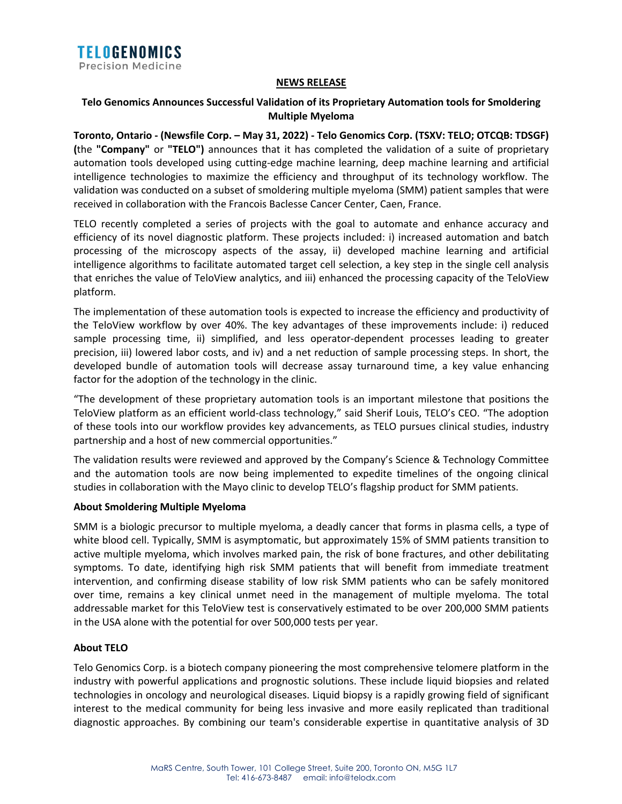

## **NEWS RELEASE**

# **Telo Genomics Announces Successful Validation of its Proprietary Automation tools for Smoldering Multiple Myeloma**

**Toronto, Ontario - (Newsfile Corp. – May 31, 2022) - Telo Genomics Corp. (TSXV: TELO; OTCQB: TDSGF) (**the **"Company"** or **"TELO")** announces that it has completed the validation of a suite of proprietary automation tools developed using cutting-edge machine learning, deep machine learning and artificial intelligence technologies to maximize the efficiency and throughput of its technology workflow. The validation was conducted on a subset of smoldering multiple myeloma (SMM) patient samples that were received in collaboration with the Francois Baclesse Cancer Center, Caen, France.

TELO recently completed a series of projects with the goal to automate and enhance accuracy and efficiency of its novel diagnostic platform. These projects included: i) increased automation and batch processing of the microscopy aspects of the assay, ii) developed machine learning and artificial intelligence algorithms to facilitate automated target cell selection, a key step in the single cell analysis that enriches the value of TeloView analytics, and iii) enhanced the processing capacity of the TeloView platform.

The implementation of these automation tools is expected to increase the efficiency and productivity of the TeloView workflow by over 40%. The key advantages of these improvements include: i) reduced sample processing time, ii) simplified, and less operator-dependent processes leading to greater precision, iii) lowered labor costs, and iv) and a net reduction of sample processing steps. In short, the developed bundle of automation tools will decrease assay turnaround time, a key value enhancing factor for the adoption of the technology in the clinic.

"The development of these proprietary automation tools is an important milestone that positions the TeloView platform as an efficient world-class technology," said Sherif Louis, TELO's CEO. "The adoption of these tools into our workflow provides key advancements, as TELO pursues clinical studies, industry partnership and a host of new commercial opportunities."

The validation results were reviewed and approved by the Company's Science & Technology Committee and the automation tools are now being implemented to expedite timelines of the ongoing clinical studies in collaboration with the Mayo clinic to develop TELO's flagship product for SMM patients.

### **About Smoldering Multiple Myeloma**

SMM is a biologic precursor to multiple myeloma, a deadly cancer that forms in plasma cells, a type of white blood cell. Typically, SMM is asymptomatic, but approximately 15% of SMM patients transition to active multiple myeloma, which involves marked pain, the risk of bone fractures, and other debilitating symptoms. To date, identifying high risk SMM patients that will benefit from immediate treatment intervention, and confirming disease stability of low risk SMM patients who can be safely monitored over time, remains a key clinical unmet need in the management of multiple myeloma. The total addressable market for this TeloView test is conservatively estimated to be over 200,000 SMM patients in the USA alone with the potential for over 500,000 tests per year.

# **About TELO**

Telo Genomics Corp. is a biotech company pioneering the most comprehensive telomere platform in the industry with powerful applications and prognostic solutions. These include liquid biopsies and related technologies in oncology and neurological diseases. Liquid biopsy is a rapidly growing field of significant interest to the medical community for being less invasive and more easily replicated than traditional diagnostic approaches. By combining our team's considerable expertise in quantitative analysis of 3D